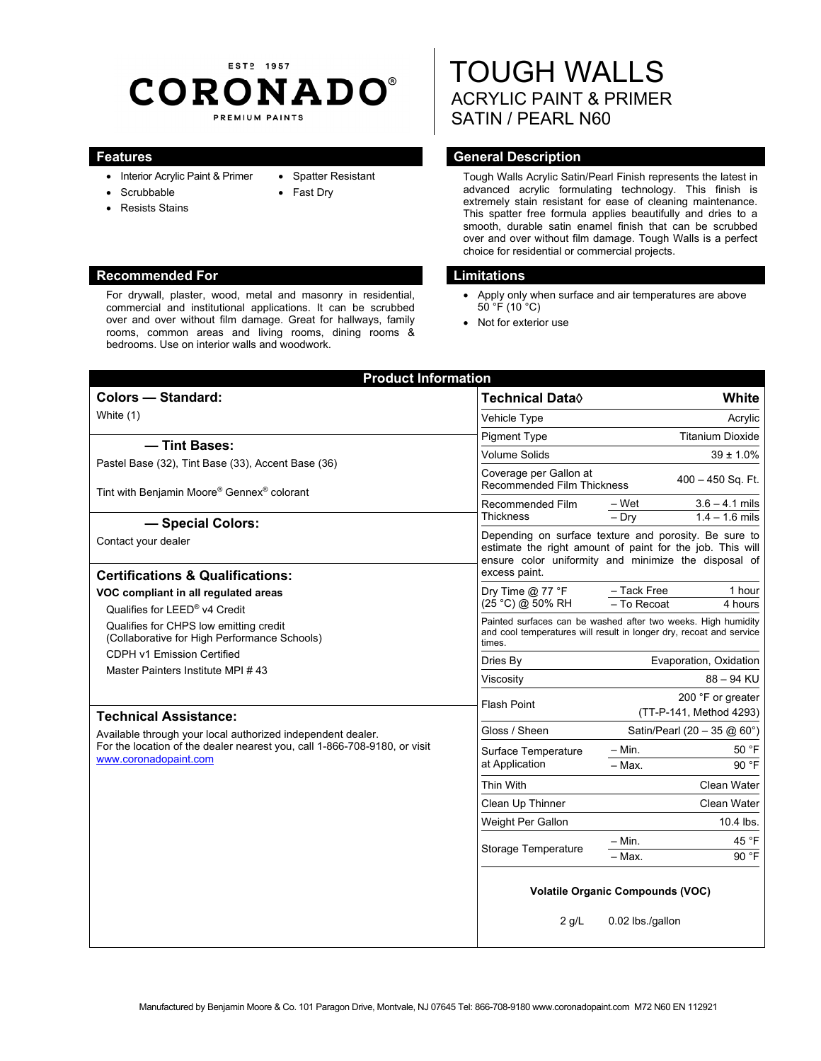# EST<sub>2</sub> 1957 **CORONADO®** PREMIUM PAINTS

• Spatter Resistant • Fast Dry

- Interior Acrylic Paint & Primer
- Scrubbable
- Resists Stains

#### **Recommended For Limitations Accommended For Limitations**

For drywall, plaster, wood, metal and masonry in residential, commercial and institutional applications. It can be scrubbed over and over without film damage. Great for hallways, family rooms, common areas and living rooms, dining rooms & bedrooms. Use on interior walls and woodwork.

# TOUGH WALLS ACRYLIC PAINT & PRIMER SATIN / PEARL N60

# **Features General Description Contract Description**

Tough Walls Acrylic Satin/Pearl Finish represents the latest in advanced acrylic formulating technology. This finish is extremely stain resistant for ease of cleaning maintenance. This spatter free formula applies beautifully and dries to a smooth, durable satin enamel finish that can be scrubbed over and over without film damage. Tough Walls is a perfect choice for residential or commercial projects.

- Apply only when surface and air temperatures are above 50 °F (10 °C)
- Not for exterior use

| <b>Product Information</b>                                                                                                                                                                                                                                                                                                                                     |                                                                                                                                                                                             |                                                                    |
|----------------------------------------------------------------------------------------------------------------------------------------------------------------------------------------------------------------------------------------------------------------------------------------------------------------------------------------------------------------|---------------------------------------------------------------------------------------------------------------------------------------------------------------------------------------------|--------------------------------------------------------------------|
| <b>Colors - Standard:</b>                                                                                                                                                                                                                                                                                                                                      | <b>Technical Data</b> ♦                                                                                                                                                                     | White                                                              |
| White (1)                                                                                                                                                                                                                                                                                                                                                      | Vehicle Type                                                                                                                                                                                | Acrylic                                                            |
| - Tint Bases:                                                                                                                                                                                                                                                                                                                                                  | <b>Pigment Type</b>                                                                                                                                                                         | <b>Titanium Dioxide</b>                                            |
| Pastel Base (32), Tint Base (33), Accent Base (36)                                                                                                                                                                                                                                                                                                             | <b>Volume Solids</b>                                                                                                                                                                        | $39 \pm 1.0\%$                                                     |
| Tint with Benjamin Moore® Gennex® colorant                                                                                                                                                                                                                                                                                                                     | Coverage per Gallon at<br><b>Recommended Film Thickness</b>                                                                                                                                 | $400 - 450$ Sq. Ft.                                                |
| - Special Colors:                                                                                                                                                                                                                                                                                                                                              | Recommended Film<br><b>Thickness</b>                                                                                                                                                        | $\frac{-W}{-W}$<br>$3.6 - 4.1$ mils<br>$1.4 - 1.6$ mils<br>$-$ Dry |
| Contact your dealer<br><b>Certifications &amp; Qualifications:</b>                                                                                                                                                                                                                                                                                             | Depending on surface texture and porosity. Be sure to<br>estimate the right amount of paint for the job. This will<br>ensure color uniformity and minimize the disposal of<br>excess paint. |                                                                    |
| VOC compliant in all regulated areas<br>Qualifies for LEED® v4 Credit                                                                                                                                                                                                                                                                                          | Dry Time $@$ 77 °F<br>(25 °C) @ 50% RH                                                                                                                                                      | - Tack Free<br>1 hour<br>- To Recoat<br>4 hours                    |
| Qualifies for CHPS low emitting credit<br>(Collaborative for High Performance Schools)<br>CDPH v1 Emission Certified<br>Master Painters Institute MPI #43<br><b>Technical Assistance:</b><br>Available through your local authorized independent dealer.<br>For the location of the dealer nearest you, call 1-866-708-9180, or visit<br>www.coronadopaint.com | Painted surfaces can be washed after two weeks. High humidity<br>and cool temperatures will result in longer dry, recoat and service<br>times.                                              |                                                                    |
|                                                                                                                                                                                                                                                                                                                                                                | Dries By                                                                                                                                                                                    | Evaporation, Oxidation                                             |
|                                                                                                                                                                                                                                                                                                                                                                | Viscosity                                                                                                                                                                                   | $88 - 94$ KU                                                       |
|                                                                                                                                                                                                                                                                                                                                                                | <b>Flash Point</b>                                                                                                                                                                          | 200 °F or greater<br>(TT-P-141, Method 4293)                       |
|                                                                                                                                                                                                                                                                                                                                                                | Gloss / Sheen                                                                                                                                                                               | Satin/Pearl (20 - 35 @ 60°)                                        |
|                                                                                                                                                                                                                                                                                                                                                                | Surface Temperature<br>at Application                                                                                                                                                       | – Min.<br>50 °F<br>- Max.<br>90 °F                                 |
|                                                                                                                                                                                                                                                                                                                                                                | Thin With                                                                                                                                                                                   | Clean Water                                                        |
|                                                                                                                                                                                                                                                                                                                                                                | Clean Up Thinner                                                                                                                                                                            | Clean Water                                                        |
|                                                                                                                                                                                                                                                                                                                                                                | Weight Per Gallon                                                                                                                                                                           | 10.4 lbs.                                                          |
|                                                                                                                                                                                                                                                                                                                                                                | <b>Storage Temperature</b>                                                                                                                                                                  | 45 °F<br>– Min.                                                    |
|                                                                                                                                                                                                                                                                                                                                                                |                                                                                                                                                                                             | 90 °F<br>- Max.                                                    |
|                                                                                                                                                                                                                                                                                                                                                                | <b>Volatile Organic Compounds (VOC)</b>                                                                                                                                                     |                                                                    |
|                                                                                                                                                                                                                                                                                                                                                                | $2$ g/L                                                                                                                                                                                     | 0.02 lbs./gallon                                                   |